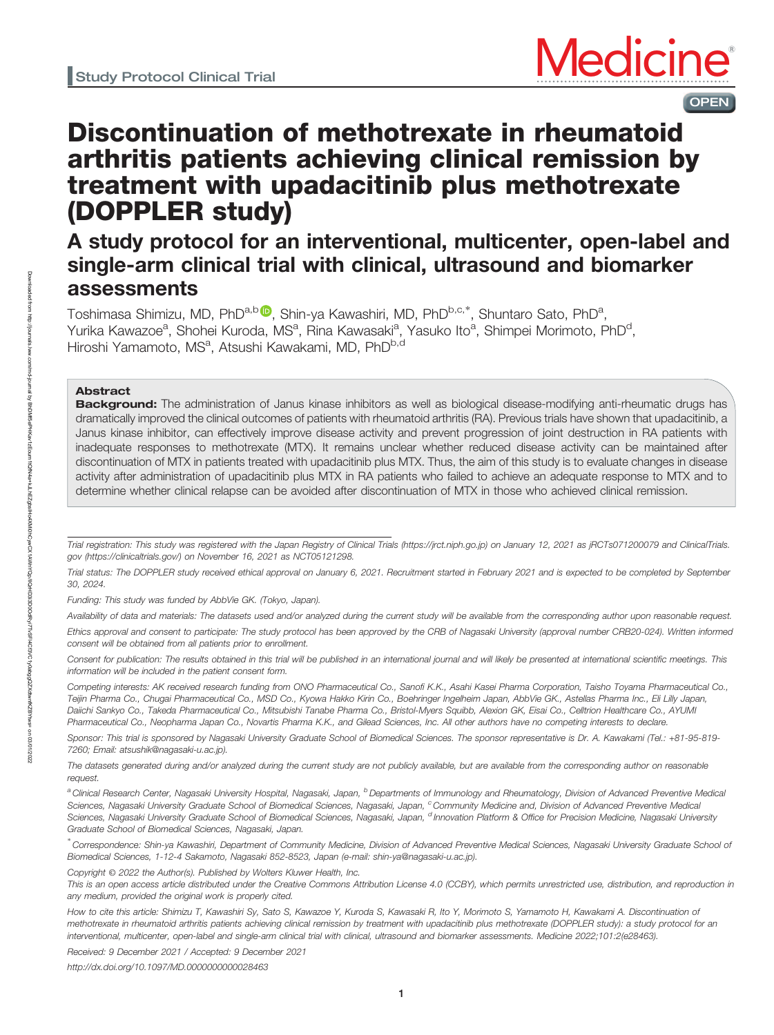

OPEN

# Discontinuation of methotrexate in rheumatoid arthritis patients achieving clinical remission by treatment with upadacitinib plus methotrexate (DOPPLER study)

## A study protocol for an interventional, multicenter, open-label and single-arm clinical trial with clinical, ultrasound and biomarker assessments

Toshimasa Shimizu, MD, PhD<sup>a,b (D</sup>, Shin-ya Kawashiri, MD, PhD<sup>b,c,\*</sup>, Shuntaro Sato, PhD<sup>a</sup>, Yurika Kawazoe<sup>a</sup>, Shohei Kuroda, MS<sup>a</sup>, Rina Kawasaki<sup>a</sup>, Yasuko Ito<sup>a</sup>, Shimpei Morimoto, PhD<sup>d</sup>, Hiroshi Yamamoto, MS<sup>a</sup>, Atsushi Kawakami, MD, PhD<sup>b,d</sup>

## Abstract

Background: The administration of Janus kinase inhibitors as well as biological disease-modifying anti-rheumatic drugs has dramatically improved the clinical outcomes of patients with rheumatoid arthritis (RA). Previous trials have shown that upadacitinib, a Janus kinase inhibitor, can effectively improve disease activity and prevent progression of joint destruction in RA patients with inadequate responses to methotrexate (MTX). It remains unclear whether reduced disease activity can be maintained after discontinuation of MTX in patients treated with upadacitinib plus MTX. Thus, the aim of this study is to evaluate changes in disease activity after administration of upadacitinib plus MTX in RA patients who failed to achieve an adequate response to MTX and to determine whether clinical relapse can be avoided after discontinuation of MTX in those who achieved clinical remission.

Funding: This study was funded by AbbVie GK. (Tokyo, Japan).

Availability of data and materials: The datasets used and/or analyzed during the current study will be available from the corresponding author upon reasonable request. Ethics approval and consent to participate: The study protocol has been approved by the CRB of Nagasaki University (approval number CRB20-024). Written informed consent will be obtained from all patients prior to enrollment.

Consent for publication: The results obtained in this trial will be published in an international journal and will likely be presented at international scientific meetings. This information will be included in the patient consent form.

Competing interests: AK received research funding from ONO Pharmaceutical Co., Sanofi K.K., Asahi Kasei Pharma Corporation, Taisho Toyama Pharmaceutical Co., Teijin Pharma Co., Chugai Pharmaceutical Co., MSD Co., Kyowa Hakko Kirin Co., Boehringer Ingelheim Japan, AbbVie GK., Astellas Pharma Inc., Eli Lilly Japan, Daiichi Sankyo Co., Takeda Pharmaceutical Co., Mitsubishi Tanabe Pharma Co., Bristol-Myers Squibb, Alexion GK, Eisai Co., Celltrion Healthcare Co., AYUMI Pharmaceutical Co., Neopharma Japan Co., Novartis Pharma K.K., and Gilead Sciences, Inc. All other authors have no competing interests to declare.

Sponsor: This trial is sponsored by Nagasaki University Graduate School of Biomedical Sciences. The sponsor representative is Dr. A. Kawakami (Tel.: +81-95-819- 7260; Email: [atsushik@nagasaki-u.ac.jp\)](mailto:atsushik@nagasaki-u.ac.jp).

The datasets generated during and/or analyzed during the current study are not publicly available, but are available from the corresponding author on reasonable request.

<sup>a</sup> Clinical Research Center, Nagasaki University Hospital, Nagasaki, Japan, <sup>b</sup> Departments of Immunology and Rheumatology, Division of Advanced Preventive Medical Sciences, Nagasaki University Graduate School of Biomedical Sciences, Nagasaki, Japan, Community Medicine and, Division of Advanced Preventive Medical Sciences, Nagasaki University Graduate School of Biomedical Sciences, Nagasaki, Japan, <sup>d</sup> Innovation Platform & Office for Precision Medicine, Nagasaki University Graduate School of Biomedical Sciences, Nagasaki, Japan.

∗ Correspondence: Shin-ya Kawashiri, Department of Community Medicine, Division of Advanced Preventive Medical Sciences, Nagasaki University Graduate School of Biomedical Sciences, 1-12-4 Sakamoto, Nagasaki 852-8523, Japan (e-mail: [shin-ya@nagasaki-u.ac.jp\)](mailto:shin-ya@nagasaki-u.ac.jp).

Copyright © 2022 the Author(s). Published by Wolters Kluwer Health, Inc.

This is an open access article distributed under the Creative Commons Attribution License 4.0 (CCBY), which permits unrestricted use, distribution, and reproduction in any medium, provided the original work is properly cited.

How to cite this article: Shimizu T, Kawashiri Sy, Sato S, Kawazoe Y, Kuroda S, Kawasaki R, Ito Y, Morimoto S, Yamamoto H, Kawakami A. Discontinuation of methotrexate in rheumatoid arthritis patients achieving clinical remission by treatment with upadacitinib plus methotrexate (DOPPLER study): a study protocol for an interventional, multicenter, open-label and single-arm clinical trial with clinical, ultrasound and biomarker assessments. Medicine 2022;101:2(e28463).

Received: 9 December 2021 / Accepted: 9 December 2021

<http://dx.doi.org/10.1097/MD.0000000000028463>

Trial registration: This study was registered with the Japan Registry of Clinical Trials [\(https://jrct.niph.go.jp](https://jrct.niph.go.jp/)) on January 12, 2021 as jRCTs071200079 and ClinicalTrials. gov ([https://clinicaltrials.gov](https://clinicaltrials.gov/)/) on November 16, 2021 as NCT05121298.

Trial status: The DOPPLER study received ethical approval on January 6, 2021. Recruitment started in February 2021 and is expected to be completed by September 30, 2024.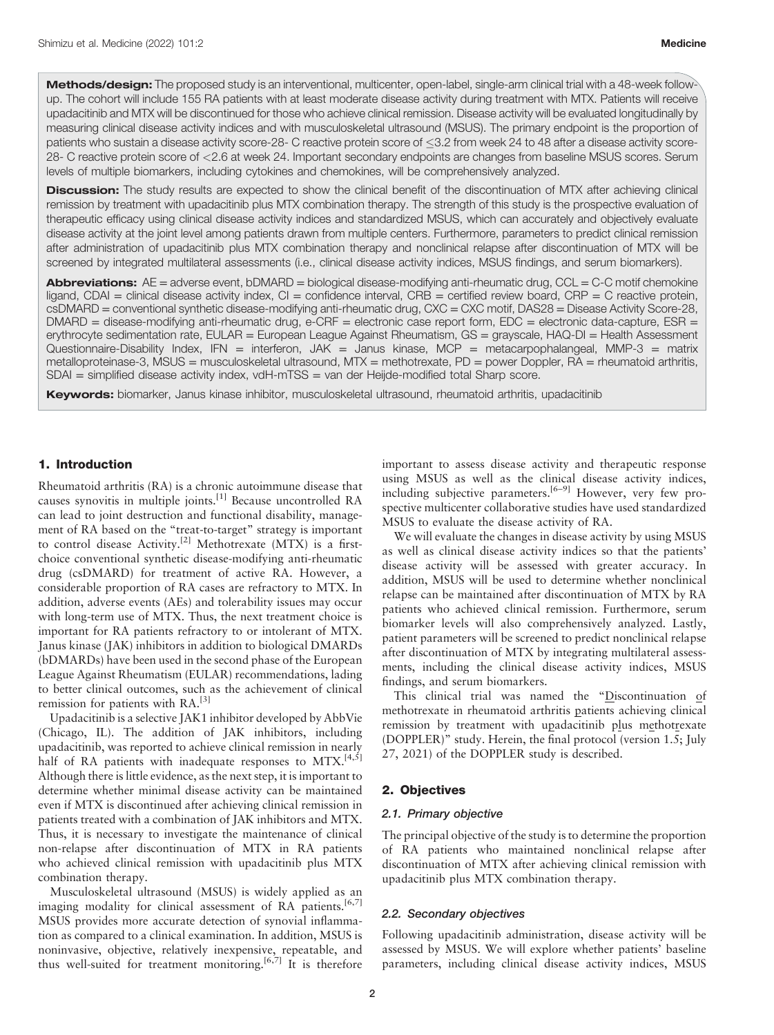Methods/design: The proposed study is an interventional, multicenter, open-label, single-arm clinical trial with a 48-week followup. The cohort will include 155 RA patients with at least moderate disease activity during treatment with MTX. Patients will receive upadacitinib and MTX will be discontinued for those who achieve clinical remission. Disease activity will be evaluated longitudinally by measuring clinical disease activity indices and with musculoskeletal ultrasound (MSUS). The primary endpoint is the proportion of patients who sustain a disease activity score-28- C reactive protein score of <3.2 from week 24 to 48 after a disease activity score-28- C reactive protein score of <2.6 at week 24. Important secondary endpoints are changes from baseline MSUS scores. Serum levels of multiple biomarkers, including cytokines and chemokines, will be comprehensively analyzed.

Discussion: The study results are expected to show the clinical benefit of the discontinuation of MTX after achieving clinical remission by treatment with upadacitinib plus MTX combination therapy. The strength of this study is the prospective evaluation of therapeutic efficacy using clinical disease activity indices and standardized MSUS, which can accurately and objectively evaluate disease activity at the joint level among patients drawn from multiple centers. Furthermore, parameters to predict clinical remission after administration of upadacitinib plus MTX combination therapy and nonclinical relapse after discontinuation of MTX will be screened by integrated multilateral assessments (i.e., clinical disease activity indices, MSUS findings, and serum biomarkers).

Abbreviations: AE = adverse event, bDMARD = biological disease-modifying anti-rheumatic drug, CCL = C-C motif chemokine ligand, CDAI = clinical disease activity index, CI = confidence interval, CRB = certified review board, CRP = C reactive protein, csDMARD = conventional synthetic disease-modifying anti-rheumatic drug, CXC = CXC motif, DAS28 = Disease Activity Score-28, DMARD = disease-modifying anti-rheumatic drug, e-CRF = electronic case report form, EDC = electronic data-capture, ESR = erythrocyte sedimentation rate, EULAR = European League Against Rheumatism, GS = grayscale, HAQ-DI = Health Assessment Questionnaire-Disability Index, IFN = interferon, JAK = Janus kinase, MCP = metacarpophalangeal, MMP-3 = matrix metalloproteinase-3, MSUS = musculoskeletal ultrasound, MTX = methotrexate, PD = power Doppler, RA = rheumatoid arthritis, SDAI = simplified disease activity index, vdH-mTSS = van der Heijde-modified total Sharp score.

Keywords: biomarker, Janus kinase inhibitor, musculoskeletal ultrasound, rheumatoid arthritis, upadacitinib

## 1. Introduction

Rheumatoid arthritis (RA) is a chronic autoimmune disease that causes synovitis in multiple joints.[1] Because uncontrolled RA can lead to joint destruction and functional disability, management of RA based on the "treat-to-target" strategy is important to control disease Activity.<sup>[2]</sup> Methotrexate (MTX) is a firstchoice conventional synthetic disease-modifying anti-rheumatic drug (csDMARD) for treatment of active RA. However, a considerable proportion of RA cases are refractory to MTX. In addition, adverse events (AEs) and tolerability issues may occur with long-term use of MTX. Thus, the next treatment choice is important for RA patients refractory to or intolerant of MTX. Janus kinase (JAK) inhibitors in addition to biological DMARDs (bDMARDs) have been used in the second phase of the European League Against Rheumatism (EULAR) recommendations, lading to better clinical outcomes, such as the achievement of clinical remission for patients with RA.[3]

Upadacitinib is a selective JAK1 inhibitor developed by AbbVie (Chicago, IL). The addition of JAK inhibitors, including upadacitinib, was reported to achieve clinical remission in nearly half of RA patients with inadequate responses to MTX.<sup>[4,5]</sup> Although there is little evidence, as the next step, it is important to determine whether minimal disease activity can be maintained even if MTX is discontinued after achieving clinical remission in patients treated with a combination of JAK inhibitors and MTX. Thus, it is necessary to investigate the maintenance of clinical non-relapse after discontinuation of MTX in RA patients who achieved clinical remission with upadacitinib plus MTX combination therapy.

Musculoskeletal ultrasound (MSUS) is widely applied as an imaging modality for clinical assessment of RA patients.<sup>[6,7]</sup> MSUS provides more accurate detection of synovial inflammation as compared to a clinical examination. In addition, MSUS is noninvasive, objective, relatively inexpensive, repeatable, and thus well-suited for treatment monitoring.<sup>[6,7]</sup> It is therefore important to assess disease activity and therapeutic response using MSUS as well as the clinical disease activity indices, including subjective parameters.<sup>[6–9]</sup> However, very few prospective multicenter collaborative studies have used standardized MSUS to evaluate the disease activity of RA.

We will evaluate the changes in disease activity by using MSUS as well as clinical disease activity indices so that the patients' disease activity will be assessed with greater accuracy. In addition, MSUS will be used to determine whether nonclinical relapse can be maintained after discontinuation of MTX by RA patients who achieved clinical remission. Furthermore, serum biomarker levels will also comprehensively analyzed. Lastly, patient parameters will be screened to predict nonclinical relapse after discontinuation of MTX by integrating multilateral assessments, including the clinical disease activity indices, MSUS findings, and serum biomarkers.

This clinical trial was named the "Discontinuation of methotrexate in rheumatoid arthritis patients achieving clinical remission by treatment with upadacitinib plus methotrexate (DOPPLER)" study. Herein, the final protocol (version 1.5; July 27, 2021) of the DOPPLER study is described.

#### 2. Objectives

#### 2.1. Primary objective

The principal objective of the study is to determine the proportion of RA patients who maintained nonclinical relapse after discontinuation of MTX after achieving clinical remission with upadacitinib plus MTX combination therapy.

#### 2.2. Secondary objectives

Following upadacitinib administration, disease activity will be assessed by MSUS. We will explore whether patients' baseline parameters, including clinical disease activity indices, MSUS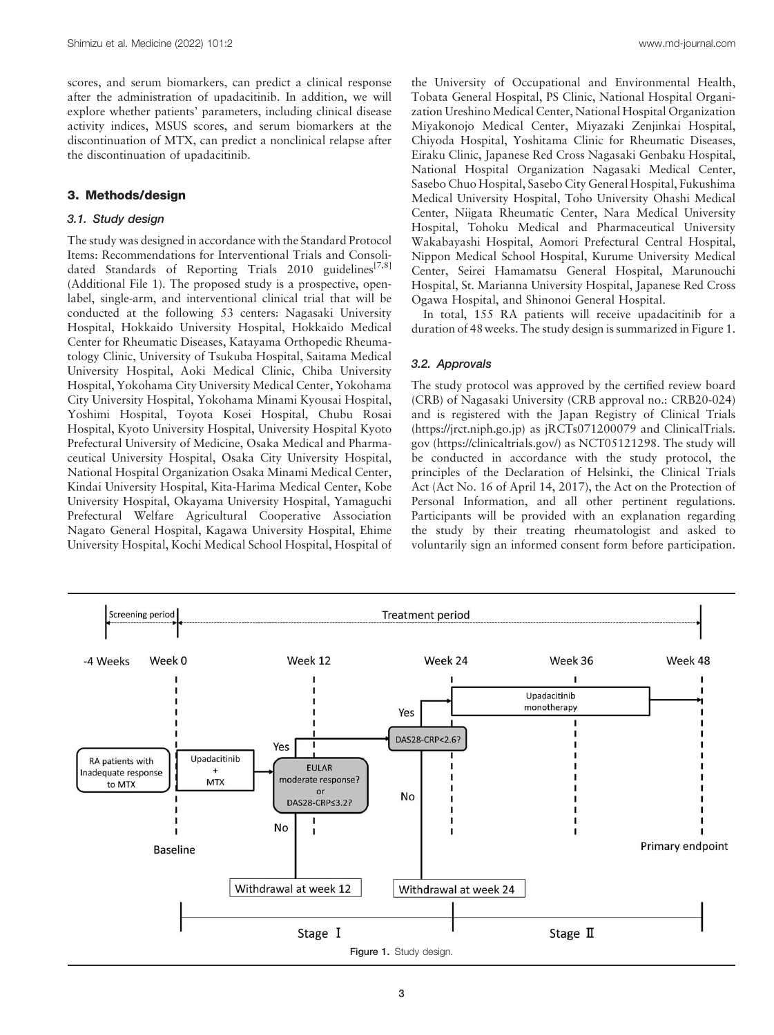scores, and serum biomarkers, can predict a clinical response after the administration of upadacitinib. In addition, we will explore whether patients' parameters, including clinical disease activity indices, MSUS scores, and serum biomarkers at the discontinuation of MTX, can predict a nonclinical relapse after the discontinuation of upadacitinib.

## 3. Methods/design

#### 3.1. Study design

The study was designed in accordance with the Standard Protocol Items: Recommendations for Interventional Trials and Consolidated Standards of Reporting Trials 2010 guidelines<sup>[7,8]</sup> (Additional File 1). The proposed study is a prospective, openlabel, single-arm, and interventional clinical trial that will be conducted at the following 53 centers: Nagasaki University Hospital, Hokkaido University Hospital, Hokkaido Medical Center for Rheumatic Diseases, Katayama Orthopedic Rheumatology Clinic, University of Tsukuba Hospital, Saitama Medical University Hospital, Aoki Medical Clinic, Chiba University Hospital, Yokohama City University Medical Center, Yokohama City University Hospital, Yokohama Minami Kyousai Hospital, Yoshimi Hospital, Toyota Kosei Hospital, Chubu Rosai Hospital, Kyoto University Hospital, University Hospital Kyoto Prefectural University of Medicine, Osaka Medical and Pharmaceutical University Hospital, Osaka City University Hospital, National Hospital Organization Osaka Minami Medical Center, Kindai University Hospital, Kita-Harima Medical Center, Kobe University Hospital, Okayama University Hospital, Yamaguchi Prefectural Welfare Agricultural Cooperative Association Nagato General Hospital, Kagawa University Hospital, Ehime University Hospital, Kochi Medical School Hospital, Hospital of the University of Occupational and Environmental Health, Tobata General Hospital, PS Clinic, National Hospital Organization Ureshino Medical Center, National Hospital Organization Miyakonojo Medical Center, Miyazaki Zenjinkai Hospital, Chiyoda Hospital, Yoshitama Clinic for Rheumatic Diseases, Eiraku Clinic, Japanese Red Cross Nagasaki Genbaku Hospital, National Hospital Organization Nagasaki Medical Center, Sasebo Chuo Hospital, Sasebo City General Hospital, Fukushima Medical University Hospital, Toho University Ohashi Medical Center, Niigata Rheumatic Center, Nara Medical University Hospital, Tohoku Medical and Pharmaceutical University Wakabayashi Hospital, Aomori Prefectural Central Hospital, Nippon Medical School Hospital, Kurume University Medical Center, Seirei Hamamatsu General Hospital, Marunouchi Hospital, St. Marianna University Hospital, Japanese Red Cross Ogawa Hospital, and Shinonoi General Hospital.

In total, 155 RA patients will receive upadacitinib for a duration of 48weeks. The study design is summarized in Figure 1.

#### 3.2. Approvals

The study protocol was approved by the certified review board (CRB) of Nagasaki University (CRB approval no.: CRB20-024) and is registered with the Japan Registry of Clinical Trials ([https://jrct.niph.go.jp](https://jrct.niph.go.jp/)) as jRCTs071200079 and ClinicalTrials. gov [\(https://clinicaltrials.gov](https://clinicaltrials.gov/)/) as NCT05121298. The study will be conducted in accordance with the study protocol, the principles of the Declaration of Helsinki, the Clinical Trials Act (Act No. 16 of April 14, 2017), the Act on the Protection of Personal Information, and all other pertinent regulations. Participants will be provided with an explanation regarding the study by their treating rheumatologist and asked to voluntarily sign an informed consent form before participation.

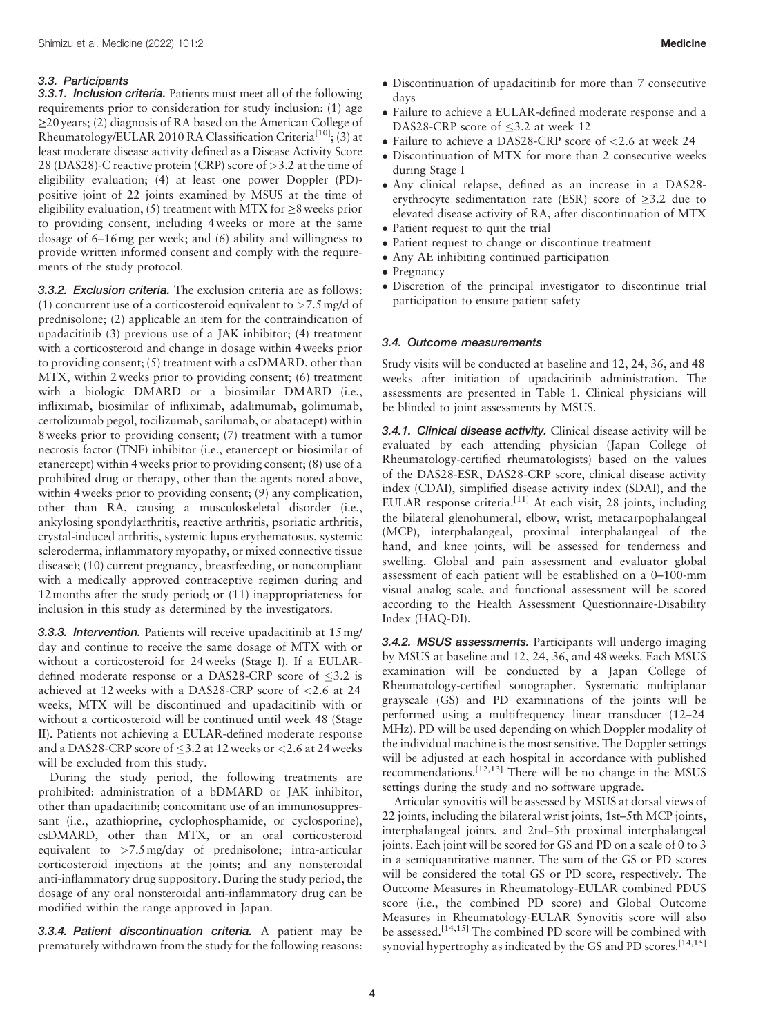## 3.3. Participants

**3.3.1. Inclusion criteria.** Patients must meet all of the following requirements prior to consideration for study inclusion: (1) age ≥20 years; (2) diagnosis of RA based on the American College of Rheumatology/EULAR 2010 RA Classification Criteria<sup>[10]</sup>; (3) at least moderate disease activity defined as a Disease Activity Score 28 (DAS28)-C reactive protein (CRP) score of >3.2 at the time of eligibility evaluation; (4) at least one power Doppler (PD) positive joint of 22 joints examined by MSUS at the time of eligibility evaluation,  $(5)$  treatment with MTX for  $\geq 8$  weeks prior to providing consent, including 4 weeks or more at the same dosage of 6–16mg per week; and (6) ability and willingness to provide written informed consent and comply with the requirements of the study protocol.

3.3.2. Exclusion criteria. The exclusion criteria are as follows: (1) concurrent use of a corticosteroid equivalent to  $>7.5$  mg/d of prednisolone; (2) applicable an item for the contraindication of upadacitinib (3) previous use of a JAK inhibitor; (4) treatment with a corticosteroid and change in dosage within 4weeks prior to providing consent; (5) treatment with a csDMARD, other than MTX, within 2weeks prior to providing consent; (6) treatment with a biologic DMARD or a biosimilar DMARD (i.e., infliximab, biosimilar of infliximab, adalimumab, golimumab, certolizumab pegol, tocilizumab, sarilumab, or abatacept) within 8weeks prior to providing consent; (7) treatment with a tumor necrosis factor (TNF) inhibitor (i.e., etanercept or biosimilar of etanercept) within 4weeks prior to providing consent; (8) use of a prohibited drug or therapy, other than the agents noted above, within 4 weeks prior to providing consent; (9) any complication, other than RA, causing a musculoskeletal disorder (i.e., ankylosing spondylarthritis, reactive arthritis, psoriatic arthritis, crystal-induced arthritis, systemic lupus erythematosus, systemic scleroderma, inflammatory myopathy, or mixed connective tissue disease); (10) current pregnancy, breastfeeding, or noncompliant with a medically approved contraceptive regimen during and 12months after the study period; or (11) inappropriateness for inclusion in this study as determined by the investigators.

3.3.3. Intervention. Patients will receive upadacitinib at 15 mg/ day and continue to receive the same dosage of MTX with or without a corticosteroid for 24weeks (Stage I). If a EULARdefined moderate response or a DAS28-CRP score of  $\leq$ 3.2 is achieved at 12 weeks with a DAS28-CRP score of <2.6 at 24 weeks, MTX will be discontinued and upadacitinib with or without a corticosteroid will be continued until week 48 (Stage II). Patients not achieving a EULAR-defined moderate response and a DAS28-CRP score of  $\leq$ 3.2 at 12 weeks or  $<$ 2.6 at 24 weeks will be excluded from this study.

During the study period, the following treatments are prohibited: administration of a bDMARD or JAK inhibitor, other than upadacitinib; concomitant use of an immunosuppressant (i.e., azathioprine, cyclophosphamide, or cyclosporine), csDMARD, other than MTX, or an oral corticosteroid equivalent to >7.5mg/day of prednisolone; intra-articular corticosteroid injections at the joints; and any nonsteroidal anti-inflammatory drug suppository. During the study period, the dosage of any oral nonsteroidal anti-inflammatory drug can be modified within the range approved in Japan.

3.3.4. Patient discontinuation criteria. A patient may be prematurely withdrawn from the study for the following reasons:

- Discontinuation of upadacitinib for more than 7 consecutive days
- Failure to achieve a EULAR-defined moderate response and a DAS28-CRP score of  $\leq$ 3.2 at week 12
- Failure to achieve a DAS28-CRP score of <2.6 at week 24
- Discontinuation of MTX for more than 2 consecutive weeks during Stage I
- Any clinical relapse, defined as an increase in a DAS28 erythrocyte sedimentation rate (ESR) score of ≥3.2 due to elevated disease activity of RA, after discontinuation of MTX
- Patient request to quit the trial
- Patient request to change or discontinue treatment
- Any AE inhibiting continued participation
- Pregnancy
- Discretion of the principal investigator to discontinue trial participation to ensure patient safety

## 3.4. Outcome measurements

Study visits will be conducted at baseline and 12, 24, 36, and 48 weeks after initiation of upadacitinib administration. The assessments are presented in Table 1. Clinical physicians will be blinded to joint assessments by MSUS.

3.4.1. Clinical disease activity. Clinical disease activity will be evaluated by each attending physician (Japan College of Rheumatology-certified rheumatologists) based on the values of the DAS28-ESR, DAS28-CRP score, clinical disease activity index (CDAI), simplified disease activity index (SDAI), and the EULAR response criteria.<sup>[11]</sup> At each visit, 28 joints, including the bilateral glenohumeral, elbow, wrist, metacarpophalangeal (MCP), interphalangeal, proximal interphalangeal of the hand, and knee joints, will be assessed for tenderness and swelling. Global and pain assessment and evaluator global assessment of each patient will be established on a 0–100-mm visual analog scale, and functional assessment will be scored according to the Health Assessment Questionnaire-Disability Index (HAQ-DI).

3.4.2. MSUS assessments. Participants will undergo imaging by MSUS at baseline and 12, 24, 36, and 48weeks. Each MSUS examination will be conducted by a Japan College of Rheumatology-certified sonographer. Systematic multiplanar grayscale (GS) and PD examinations of the joints will be performed using a multifrequency linear transducer (12–24 MHz). PD will be used depending on which Doppler modality of the individual machine is the most sensitive. The Doppler settings will be adjusted at each hospital in accordance with published recommendations.<sup>[12,13]</sup> There will be no change in the MSUS settings during the study and no software upgrade.

Articular synovitis will be assessed by MSUS at dorsal views of 22 joints, including the bilateral wrist joints, 1st–5th MCP joints, interphalangeal joints, and 2nd–5th proximal interphalangeal joints. Each joint will be scored for GS and PD on a scale of 0 to 3 in a semiquantitative manner. The sum of the GS or PD scores will be considered the total GS or PD score, respectively. The Outcome Measures in Rheumatology-EULAR combined PDUS score (i.e., the combined PD score) and Global Outcome Measures in Rheumatology-EULAR Synovitis score will also be assessed.<sup>[14,15]</sup> The combined PD score will be combined with synovial hypertrophy as indicated by the GS and PD scores.<sup>[14,15]</sup>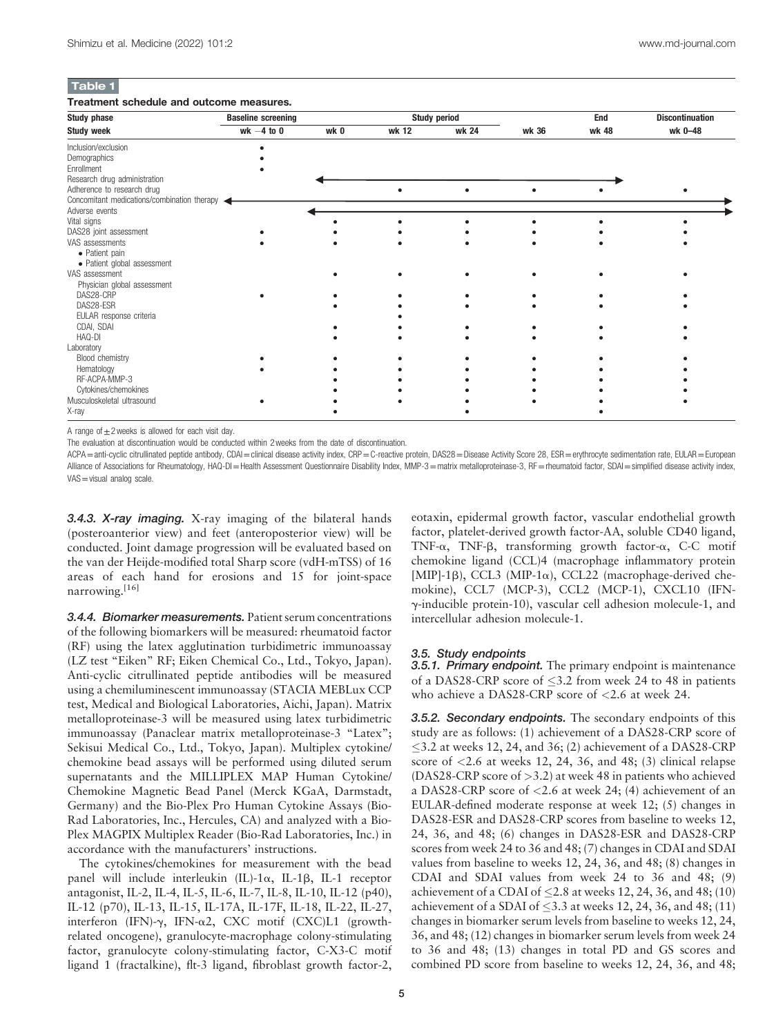## Table 1

#### Treatment schedule and outcome measures.

| <b>Study phase</b><br><b>Study week</b>     | <b>Baseline screening</b> |      | <b>Study period</b> |       |       | End   | <b>Discontinuation</b> |
|---------------------------------------------|---------------------------|------|---------------------|-------|-------|-------|------------------------|
|                                             | wk $-4$ to 0              | wk 0 | wk 12               | wk 24 | wk 36 | wk 48 | wk 0-48                |
| Inclusion/exclusion                         |                           |      |                     |       |       |       |                        |
| Demographics                                |                           |      |                     |       |       |       |                        |
| Enrollment                                  |                           |      |                     |       |       |       |                        |
| Research drug administration                |                           |      |                     |       |       |       |                        |
| Adherence to research drug                  |                           |      |                     |       |       |       |                        |
| Concomitant medications/combination therapy |                           |      |                     |       |       |       |                        |
| Adverse events                              |                           |      |                     |       |       |       |                        |
| Vital signs                                 |                           |      |                     |       |       |       |                        |
| DAS28 joint assessment                      |                           |      |                     |       |       |       |                        |
| VAS assessments                             |                           |      |                     |       |       |       |                        |
| • Patient pain                              |                           |      |                     |       |       |       |                        |
| · Patient global assessment                 |                           |      |                     |       |       |       |                        |
| VAS assessment                              |                           |      |                     |       |       |       |                        |
| Physician global assessment                 |                           |      |                     |       |       |       |                        |
| DAS28-CRP                                   |                           |      |                     |       |       |       |                        |
| DAS28-ESR                                   |                           |      |                     |       |       |       |                        |
| EULAR response criteria                     |                           |      |                     |       |       |       |                        |
| CDAI, SDAI                                  |                           |      |                     |       |       |       |                        |
| HAQ-DI                                      |                           |      |                     |       |       |       |                        |
| Laboratory                                  |                           |      |                     |       |       |       |                        |
| Blood chemistry                             |                           |      |                     |       |       |       |                        |
| Hematology                                  |                           |      |                     |       |       |       |                        |
| RF-ACPA-MMP-3                               |                           |      |                     |       |       |       |                        |
| Cytokines/chemokines                        |                           |      |                     |       |       |       |                        |
| Musculoskeletal ultrasound                  |                           |      |                     |       |       |       |                        |
| X-ray                                       |                           |      |                     |       |       |       |                        |

A range of  $\pm 2$  weeks is allowed for each visit day.

The evaluation at discontinuation would be conducted within 2 weeks from the date of discontinuation.

ACPA=anti-cyclic citrullinated peptide antibody, CDAI=clinical disease activity index, CRP=C-reactive protein, DAS28=Disease Activity Score 28, ESR=erythrocyte sedimentation rate, EULAR=European Alliance of Associations for Rheumatology, HAQ-DI=Health Assessment Questionnaire Disability Index, MMP-3=matrix metalloproteinase-3, RF=rheumatoid factor, SDAI=simplified disease activity index, VAS = visual analog scale.

3.4.3. X-ray imaging. X-ray imaging of the bilateral hands (posteroanterior view) and feet (anteroposterior view) will be conducted. Joint damage progression will be evaluated based on the van der Heijde-modified total Sharp score (vdH-mTSS) of 16 areas of each hand for erosions and 15 for joint-space narrowing.[16]

3.4.4. Biomarker measurements. Patient serum concentrations of the following biomarkers will be measured: rheumatoid factor (RF) using the latex agglutination turbidimetric immunoassay (LZ test "Eiken" RF; Eiken Chemical Co., Ltd., Tokyo, Japan). Anti-cyclic citrullinated peptide antibodies will be measured using a chemiluminescent immunoassay (STACIA MEBLux CCP test, Medical and Biological Laboratories, Aichi, Japan). Matrix metalloproteinase-3 will be measured using latex turbidimetric immunoassay (Panaclear matrix metalloproteinase-3 "Latex"; Sekisui Medical Co., Ltd., Tokyo, Japan). Multiplex cytokine/ chemokine bead assays will be performed using diluted serum supernatants and the MILLIPLEX MAP Human Cytokine/ Chemokine Magnetic Bead Panel (Merck KGaA, Darmstadt, Germany) and the Bio-Plex Pro Human Cytokine Assays (Bio-Rad Laboratories, Inc., Hercules, CA) and analyzed with a Bio-Plex MAGPIX Multiplex Reader (Bio-Rad Laboratories, Inc.) in accordance with the manufacturers' instructions.

The cytokines/chemokines for measurement with the bead panel will include interleukin  $(IL)-1\alpha$ , IL-1 $\beta$ , IL-1 receptor antagonist, IL-2, IL-4, IL-5, IL-6, IL-7, IL-8, IL-10, IL-12 (p40), IL-12 (p70), IL-13, IL-15, IL-17A, IL-17F, IL-18, IL-22, IL-27, interferon (IFN)- $\gamma$ , IFN- $\alpha$ 2, CXC motif (CXC)L1 (growthrelated oncogene), granulocyte-macrophage colony-stimulating factor, granulocyte colony-stimulating factor, C-X3-C motif ligand 1 (fractalkine), flt-3 ligand, fibroblast growth factor-2, eotaxin, epidermal growth factor, vascular endothelial growth factor, platelet-derived growth factor-AA, soluble CD40 ligand, TNF- $\alpha$ , TNF- $\beta$ , transforming growth factor- $\alpha$ , C-C motif chemokine ligand (CCL)4 (macrophage inflammatory protein [MIP]-1 $\beta$ ), CCL3 (MIP-1 $\alpha$ ), CCL22 (macrophage-derived chemokine), CCL7 (MCP-3), CCL2 (MCP-1), CXCL10 (IFNg-inducible protein-10), vascular cell adhesion molecule-1, and intercellular adhesion molecule-1.

#### 3.5. Study endpoints

**3.5.1. Primary endpoint.** The primary endpoint is maintenance of a DAS28-CRP score of  $\leq$ 3.2 from week 24 to 48 in patients who achieve a DAS28-CRP score of <2.6 at week 24.

3.5.2. Secondary endpoints. The secondary endpoints of this study are as follows: (1) achievement of a DAS28-CRP score of 3.2 at weeks 12, 24, and 36; (2) achievement of a DAS28-CRP score of  $\langle 2.6 \rangle$  at weeks 12, 24, 36, and 48; (3) clinical relapse (DAS28-CRP score of >3.2) at week 48 in patients who achieved a DAS28-CRP score of <2.6 at week 24; (4) achievement of an EULAR-defined moderate response at week 12; (5) changes in DAS28-ESR and DAS28-CRP scores from baseline to weeks 12, 24, 36, and 48; (6) changes in DAS28-ESR and DAS28-CRP scores from week 24 to 36 and 48; (7) changes in CDAI and SDAI values from baseline to weeks 12, 24, 36, and 48; (8) changes in CDAI and SDAI values from week 24 to 36 and 48; (9) achievement of a CDAI of  $\leq$  2.8 at weeks 12, 24, 36, and 48; (10) achievement of a SDAI of  $\leq$ 3.3 at weeks 12, 24, 36, and 48; (11) changes in biomarker serum levels from baseline to weeks 12, 24, 36, and 48; (12) changes in biomarker serum levels from week 24 to 36 and 48; (13) changes in total PD and GS scores and combined PD score from baseline to weeks 12, 24, 36, and 48;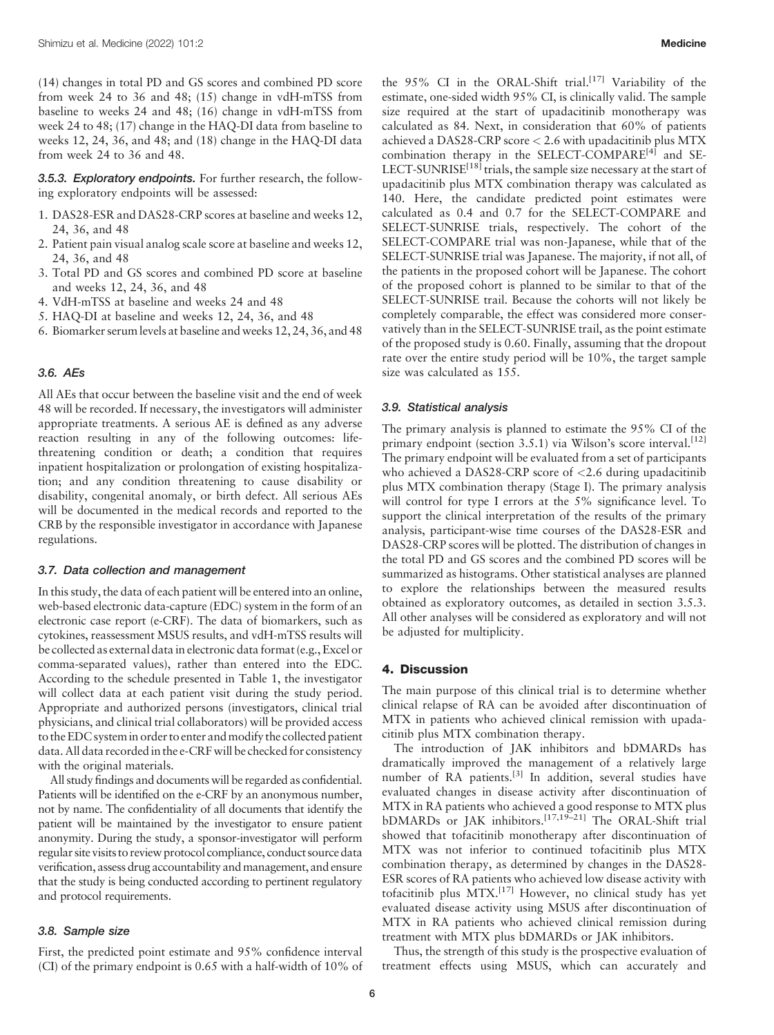(14) changes in total PD and GS scores and combined PD score from week 24 to 36 and 48; (15) change in vdH-mTSS from baseline to weeks 24 and 48; (16) change in vdH-mTSS from week 24 to 48; (17) change in the HAQ-DI data from baseline to weeks 12, 24, 36, and 48; and (18) change in the HAQ-DI data from week 24 to 36 and 48.

3.5.3. Exploratory endpoints. For further research, the following exploratory endpoints will be assessed:

- 1. DAS28-ESR and DAS28-CRP scores at baseline and weeks 12, 24, 36, and 48
- 2. Patient pain visual analog scale score at baseline and weeks 12, 24, 36, and 48
- 3. Total PD and GS scores and combined PD score at baseline and weeks 12, 24, 36, and 48
- 4. VdH-mTSS at baseline and weeks 24 and 48
- 5. HAQ-DI at baseline and weeks 12, 24, 36, and 48
- 6. Biomarker serum levels at baseline and weeks 12, 24, 36, and 48

#### 3.6. AEs

All AEs that occur between the baseline visit and the end of week 48 will be recorded. If necessary, the investigators will administer appropriate treatments. A serious AE is defined as any adverse reaction resulting in any of the following outcomes: lifethreatening condition or death; a condition that requires inpatient hospitalization or prolongation of existing hospitalization; and any condition threatening to cause disability or disability, congenital anomaly, or birth defect. All serious AEs will be documented in the medical records and reported to the CRB by the responsible investigator in accordance with Japanese regulations.

#### 3.7. Data collection and management

In this study, the data of each patient will be entered into an online, web-based electronic data-capture (EDC) system in the form of an electronic case report (e-CRF). The data of biomarkers, such as cytokines, reassessment MSUS results, and vdH-mTSS results will be collected as external data in electronic data format (e.g., Excel or comma-separated values), rather than entered into the EDC. According to the schedule presented in Table 1, the investigator will collect data at each patient visit during the study period. Appropriate and authorized persons (investigators, clinical trial physicians, and clinical trial collaborators) will be provided access to the EDC system in order to enter and modify the collected patient data. All data recorded in the e-CRF will be checked for consistency with the original materials.

All study findings and documents will be regarded as confidential. Patients will be identified on the e-CRF by an anonymous number, not by name. The confidentiality of all documents that identify the patient will be maintained by the investigator to ensure patient anonymity. During the study, a sponsor-investigator will perform regular site visits to review protocol compliance, conduct source data verification, assess drug accountability and management, and ensure that the study is being conducted according to pertinent regulatory and protocol requirements.

## 3.8. Sample size

First, the predicted point estimate and 95% confidence interval (CI) of the primary endpoint is 0.65 with a half-width of 10% of the 95% CI in the ORAL-Shift trial.<sup>[17]</sup> Variability of the estimate, one-sided width 95% CI, is clinically valid. The sample size required at the start of upadacitinib monotherapy was calculated as 84. Next, in consideration that 60% of patients achieved a DAS28-CRP score < 2.6 with upadacitinib plus MTX combination therapy in the SELECT-COMPARE<sup>[4]</sup> and SE-LECT-SUNRISE<sup>[18]</sup> trials, the sample size necessary at the start of upadacitinib plus MTX combination therapy was calculated as 140. Here, the candidate predicted point estimates were calculated as 0.4 and 0.7 for the SELECT-COMPARE and SELECT-SUNRISE trials, respectively. The cohort of the SELECT-COMPARE trial was non-Japanese, while that of the SELECT-SUNRISE trial was Japanese. The majority, if not all, of the patients in the proposed cohort will be Japanese. The cohort of the proposed cohort is planned to be similar to that of the SELECT-SUNRISE trail. Because the cohorts will not likely be completely comparable, the effect was considered more conservatively than in the SELECT-SUNRISE trail, as the point estimate of the proposed study is 0.60. Finally, assuming that the dropout rate over the entire study period will be 10%, the target sample size was calculated as 155.

## 3.9. Statistical analysis

The primary analysis is planned to estimate the 95% CI of the primary endpoint (section 3.5.1) via Wilson's score interval.<sup>[12]</sup> The primary endpoint will be evaluated from a set of participants who achieved a DAS28-CRP score of  $\langle 2.6 \rangle$  during upadacitinib plus MTX combination therapy (Stage I). The primary analysis will control for type I errors at the 5% significance level. To support the clinical interpretation of the results of the primary analysis, participant-wise time courses of the DAS28-ESR and DAS28-CRP scores will be plotted. The distribution of changes in the total PD and GS scores and the combined PD scores will be summarized as histograms. Other statistical analyses are planned to explore the relationships between the measured results obtained as exploratory outcomes, as detailed in section 3.5.3. All other analyses will be considered as exploratory and will not be adjusted for multiplicity.

## 4. Discussion

The main purpose of this clinical trial is to determine whether clinical relapse of RA can be avoided after discontinuation of MTX in patients who achieved clinical remission with upadacitinib plus MTX combination therapy.

The introduction of JAK inhibitors and bDMARDs has dramatically improved the management of a relatively large number of RA patients.<sup>[3]</sup> In addition, several studies have evaluated changes in disease activity after discontinuation of MTX in RA patients who achieved a good response to MTX plus bDMARDs or JAK inhibitors.<sup>[17,19-21]</sup> The ORAL-Shift trial showed that tofacitinib monotherapy after discontinuation of MTX was not inferior to continued tofacitinib plus MTX combination therapy, as determined by changes in the DAS28- ESR scores of RA patients who achieved low disease activity with tofacitinib plus  $\widehat{M}TX$ .<sup>[17]</sup> However, no clinical study has yet evaluated disease activity using MSUS after discontinuation of MTX in RA patients who achieved clinical remission during treatment with MTX plus bDMARDs or JAK inhibitors.

Thus, the strength of this study is the prospective evaluation of treatment effects using MSUS, which can accurately and